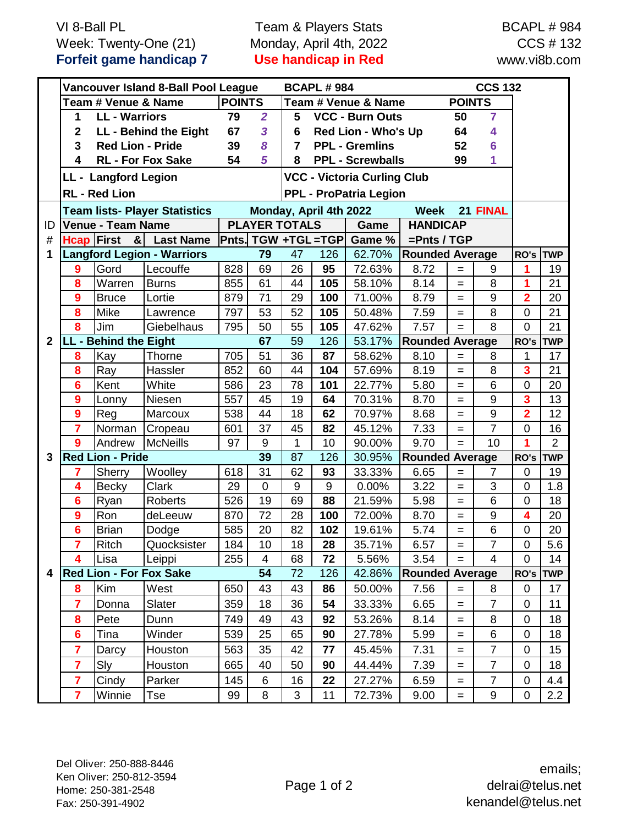VI 8-Ball PL Week: Twenty-One (21) **Forfeit game handicap 7**

Team & Players Stats Monday, April 4th, 2022 **Use handicap in Red**

BCAPL # 984 CCS # 132 www.vi8b.com

|              | Vancouver Island 8-Ball Pool League                            |                                |                 |                     |                             | <b>BCAPL #984</b>                             |                                                   |                        |                        |                                   | <b>CCS 132</b>   |                         |                |
|--------------|----------------------------------------------------------------|--------------------------------|-----------------|---------------------|-----------------------------|-----------------------------------------------|---------------------------------------------------|------------------------|------------------------|-----------------------------------|------------------|-------------------------|----------------|
|              | <b>POINTS</b><br>Team # Venue & Name                           |                                |                 |                     | Team # Venue & Name         |                                               |                                                   |                        | <b>POINTS</b>          |                                   |                  |                         |                |
|              | 1                                                              | <b>LL</b> - Warriors           | 79              | $\overline{2}$      | <b>VCC - Burn Outs</b><br>5 |                                               |                                                   |                        | 50                     | $\overline{7}$                    |                  |                         |                |
|              | LL - Behind the Eight<br>$\mathbf{2}$                          |                                |                 | 67                  | $\overline{\mathbf{3}}$     | <b>Red Lion - Who's Up</b><br>6               |                                                   |                        |                        | 64                                | 4                |                         |                |
|              | <b>Red Lion - Pride</b><br>3                                   |                                |                 | 39                  | 8                           | <b>PPL - Gremlins</b><br>52<br>$\overline{7}$ |                                                   |                        |                        | 6                                 |                  |                         |                |
|              | 4<br><b>RL - For Fox Sake</b>                                  |                                |                 | 54                  | 5                           | <b>PPL - Screwballs</b><br>8                  |                                                   |                        |                        | 99                                | 1                |                         |                |
|              |                                                                | LL - Langford Legion           |                 |                     |                             |                                               | <b>VCC - Victoria Curling Club</b>                |                        |                        |                                   |                  |                         |                |
|              | <b>RL</b> - Red Lion                                           |                                |                 |                     |                             | <b>PPL - ProPatria Legion</b>                 |                                                   |                        |                        |                                   |                  |                         |                |
|              | <b>Team lists- Player Statistics</b>                           |                                |                 |                     |                             |                                               | 21 FINAL<br><b>Week</b><br>Monday, April 4th 2022 |                        |                        |                                   |                  |                         |                |
| ID           | <b>Venue - Team Name</b>                                       |                                |                 |                     | <b>PLAYER TOTALS</b>        |                                               |                                                   | Game                   | <b>HANDICAP</b>        |                                   |                  |                         |                |
| #            | <b>Hcap First</b><br>$\boldsymbol{\alpha}$<br><b>Last Name</b> |                                |                 | Pnts. TGW +TGL =TGP |                             |                                               |                                                   | Game %                 | $=$ Pnts / TGP         |                                   |                  |                         |                |
| 1            | <b>Langford Legion - Warriors</b>                              |                                |                 |                     | 79                          | 47                                            | 126                                               | 62.70%                 | <b>Rounded Average</b> |                                   |                  | RO's                    | <b>TWP</b>     |
|              | $\boldsymbol{9}$                                               | Gord                           | Lecouffe        | 828                 | 69                          | 26                                            | 95                                                | 72.63%                 | 8.72                   | $=$                               | 9                | 1                       | 19             |
|              | 8                                                              | Warren                         | <b>Burns</b>    | 855                 | 61                          | 44                                            | 105                                               | 58.10%                 | 8.14                   | $=$                               | 8                | 1                       | 21             |
|              | $\boldsymbol{9}$                                               | <b>Bruce</b>                   | Lortie          | 879                 | 71                          | 29                                            | 100                                               | 71.00%                 | 8.79                   | $=$                               | $\boldsymbol{9}$ | $\overline{2}$          | 20             |
|              | 8                                                              | <b>Mike</b>                    | Lawrence        | 797                 | 53                          | 52                                            | 105                                               | 50.48%                 | 7.59                   | $=$                               | 8                | $\overline{0}$          | 21             |
|              | 8                                                              | Jim                            | Giebelhaus      | 795                 | 50                          | 55                                            | 105                                               | 47.62%                 | 7.57                   | $=$                               | 8                | $\overline{0}$          | 21             |
| $\mathbf{2}$ | LL - Behind the Eight                                          |                                |                 |                     | 67                          | 59                                            | 126                                               | 53.17%                 | <b>Rounded Average</b> |                                   | RO's             | <b>TWP</b>              |                |
|              | 8                                                              | Kay                            | Thorne          | 705                 | 51                          | 36                                            | 87                                                | 58.62%                 | 8.10                   | $=$                               | 8                | 1                       | 17             |
|              | 8                                                              | Ray                            | Hassler         | 852                 | 60                          | 44                                            | 104                                               | 57.69%                 | 8.19                   | $=$                               | 8                | $\overline{\mathbf{3}}$ | 21             |
|              | $6\phantom{1}6$                                                | Kent                           | White           | 586                 | 23                          | 78                                            | 101                                               | 22.77%                 | 5.80                   | $=$                               | 6                | $\mathbf 0$             | 20             |
|              | $\boldsymbol{9}$                                               | Lonny                          | Niesen          | 557                 | 45                          | 19                                            | 64                                                | 70.31%                 | 8.70                   | $=$                               | 9                | $\overline{\mathbf{3}}$ | 13             |
|              | 9                                                              | Reg                            | Marcoux         | 538                 | 44                          | 18                                            | 62                                                | 70.97%                 | 8.68                   | $=$                               | 9                | $\overline{2}$          | 12             |
|              | $\overline{\mathbf{7}}$                                        | Norman                         | Cropeau         | 601                 | 37                          | 45                                            | 82                                                | 45.12%                 | 7.33                   | $=$                               | $\overline{7}$   | $\overline{0}$          | 16             |
|              | 9                                                              | Andrew                         | <b>McNeills</b> | 97                  | 9                           | 1                                             | 10                                                | 90.00%                 | 9.70                   | $=$                               | 10               |                         | $\overline{2}$ |
| 3            | <b>Red Lion - Pride</b>                                        |                                |                 | 39<br>87<br>126     |                             |                                               | 30.95%                                            | <b>Rounded Average</b> | RO's                   | <b>TWP</b>                        |                  |                         |                |
|              | 7                                                              | Sherry                         | Woolley         | 618                 | 31                          | 62                                            | 93                                                | 33.33%                 | 6.65                   | $=$                               | $\overline{7}$   | $\overline{0}$          | 19             |
|              | 4                                                              | <b>Becky</b>                   | <b>Clark</b>    | 29                  | $\overline{0}$              | 9                                             | 9                                                 | 0.00%                  | 3.22                   | $=$                               | 3                | 0                       | 1.8            |
|              | $6\phantom{1}6$                                                | Ryan                           | <b>Roberts</b>  | 526                 | 19                          | 69                                            | 88                                                | 21.59%                 | 5.98                   | $=$                               | $6\phantom{1}6$  | $\mathbf 0$             | 18             |
|              | 9                                                              | Ron                            | deLeeuw         | 870                 | 72                          | 28                                            | 100                                               | 72.00%                 | 8.70                   | $=$                               | 9                | $\overline{\mathbf{4}}$ | 20             |
|              | $6\phantom{a}$                                                 | <b>Brian</b>                   | Dodge           | 585                 | 20                          | 82                                            | 102                                               | 19.61%                 | 5.74                   | $=$                               | 6                | $\mathbf 0$             | 20             |
|              | $\overline{7}$                                                 | Ritch                          | Quocksister     | 184                 | 10                          | 18                                            | 28                                                | 35.71%                 | 6.57                   | $=$                               | $\overline{7}$   | 0                       | 5.6            |
|              | 4                                                              | Lisa                           | Leippi          | 255                 | 4                           | 68                                            | 72                                                | 5.56%                  | 3.54                   | $=$                               | 4                | 0                       | 14             |
| 4            |                                                                | <b>Red Lion - For Fox Sake</b> |                 |                     | 54                          | 72                                            | 126                                               | 42.86%                 | <b>Rounded Average</b> |                                   |                  | RO's                    | <b>TWP</b>     |
|              | 8                                                              | Kim                            | West            | 650                 | 43                          | 43                                            | 86                                                | 50.00%                 | 7.56                   | $=$                               | 8                | 0                       | 17             |
|              | $\overline{7}$                                                 | Donna                          | Slater          | 359                 | 18                          | 36                                            | 54                                                | 33.33%                 | 6.65                   | $=$                               | $\overline{7}$   | 0                       | 11             |
|              | 8                                                              | Pete                           | Dunn            | 749                 | 49                          | 43                                            | 92                                                | 53.26%                 | 8.14                   | $=$                               | 8                | 0                       | 18             |
|              | $6\phantom{1}6$                                                | Tina                           | Winder          | 539                 | 25                          | 65                                            | 90                                                | 27.78%                 | 5.99                   | $=$                               | 6                | 0                       | 18             |
|              | 7                                                              | Darcy                          | Houston         | 563                 | 35                          | 42                                            | 77                                                | 45.45%                 | 7.31                   | $=$                               | 7                | 0                       | 15             |
|              | $\overline{7}$                                                 | Sly                            | Houston         | 665                 | 40                          | 50                                            | 90                                                | 44.44%                 | 7.39                   | $=$                               | 7                | $\mathbf 0$             | 18             |
|              | 7                                                              | Cindy                          | Parker          | 145                 | 6                           | 16                                            | 22                                                | 27.27%                 | 6.59                   | $=$                               | 7                | 0                       | 4.4            |
|              | $\overline{7}$                                                 | Winnie                         | Tse             | 99                  | 8                           | 3                                             | 11                                                | 72.73%                 | 9.00                   | $\hspace{1.6cm} = \hspace{1.6cm}$ | $\boldsymbol{9}$ | $\boldsymbol{0}$        | 2.2            |